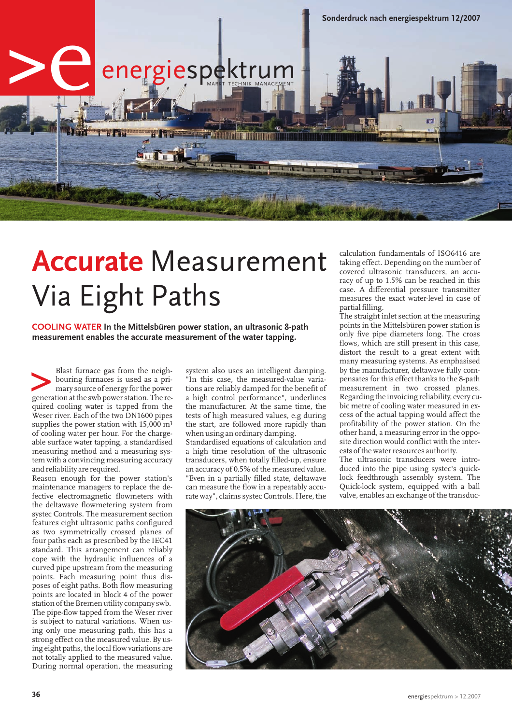

## **Accurate** Measurement Via Eight Paths

**In the Mittelsbüren power station, an ultrasonic 8-path COOLING WATER measurement enables the accurate measurement of the water tapping.**

Blast furnace gas from the neighbouring furnaces is used as a primary source of energy for the power generation at the swb power station. The re-Blast furnace gas from the neighbouring furnaces is used as a primary source of energy for the power quired cooling water is tapped from the Weser river. Each of the two DN1600 pipes supplies the power station with  $15,000$  m<sup>3</sup> of cooling water per hour. For the chargeable surface water tapping, a standardised measuring method and a measuring system with a convincing measuring accuracy and reliability are required.

Reason enough for the power station's maintenance managers to replace the defective electromagnetic flowmeters with the deltawave flowmetering system from systec Controls. The measurement section features eight ultrasonic paths configured as two symmetrically crossed planes of four paths each as prescribed by the IEC41 standard. This arrangement can reliably cope with the hydraulic influences of a curved pipe upstream from the measuring points. Each measuring point thus disposes of eight paths. Both flow measuring points are located in block 4 of the power station of the Bremen utility company swb. The pipe-flow tapped from the Weser river is subject to natural variations. When using only one measuring path, this has a strong effect on the measured value. By using eight paths, the local flow variations are not totally applied to the measured value. During normal operation, the measuring

system also uses an intelligent damping. "In this case, the measured-value variations are reliably damped for the benefit of a high control performance", underlines the manufacturer. At the same time, the tests of high measured values, e.g during the start, are followed more rapidly than when using an ordinary damping.

Standardised equations of calculation and a high time resolution of the ultrasonic transducers, when totally filled-up, ensure an accuracy of 0.5% of the measured value. "Even in a partially filled state, deltawave can measure the flow in a repeatably accurate way", claims systec Controls. Here, the

calculation fundamentals of ISO6416 are taking effect. Depending on the number of covered ultrasonic transducers, an accuracy of up to 1.5% can be reached in this case. A differential pressure transmitter measures the exact water-level in case of partial filling.

The straight inlet section at the measuring points in the Mittelsbüren power station is only five pipe diameters long. The cross flows, which are still present in this case, distort the result to a great extent with many measuring systems. As emphasised by the manufacturer, deltawave fully compensates for this effect thanks to the 8-path measurement in two crossed planes. Regarding the invoicing reliability, every cubic metre of cooling water measured in excess of the actual tapping would affect the profitability of the power station. On the other hand, a measuring error in the opposite direction would conflict with the interests of the water resources authority.

The ultrasonic transducers were introduced into the pipe using systec's quicklock feedthrough assembly system. The Quick-lock system, equipped with a ball valve, enables an exchange of the transduc-